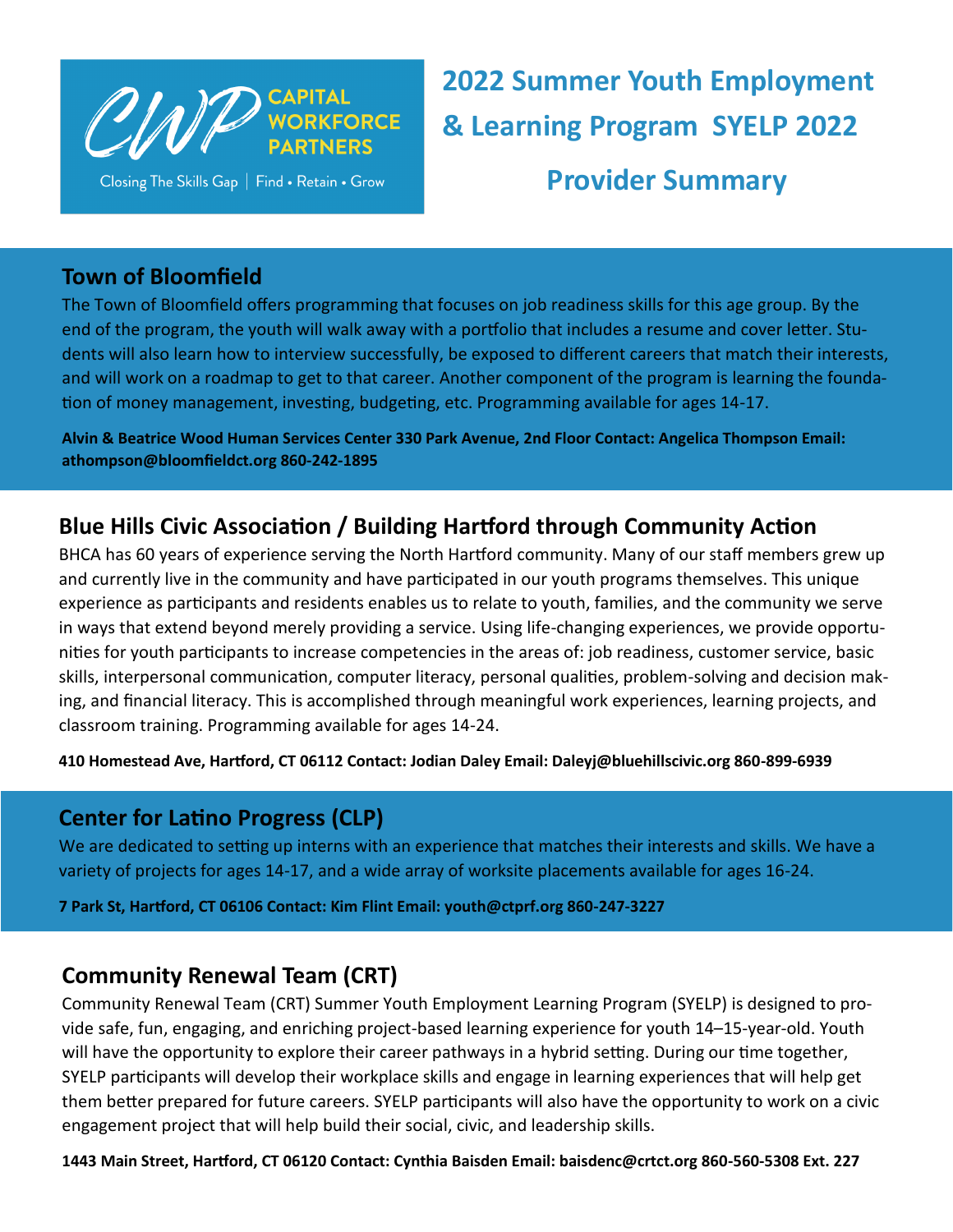

Closing The Skills Gap | Find . Retain . Grow

**2022 Summer Youth Employment & Learning Program SYELP 2022 Provider Summary**

### **Town of Bloomfield**

The Town of Bloomfield offers programming that focuses on job readiness skills for this age group. By the end of the program, the youth will walk away with a portfolio that includes a resume and cover letter. Students will also learn how to interview successfully, be exposed to different careers that match their interests, and will work on a roadmap to get to that career. Another component of the program is learning the foundation of money management, investing, budgeting, etc. Programming available for ages 14-17.

**Alvin & Beatrice Wood Human Services Center 330 Park Avenue, 2nd Floor Contact: Angelica Thompson Email: athompson@bloomfieldct.org 860-242-1895** 

# **Blue Hills Civic Association / Building Hartford through Community Action**

BHCA has 60 years of experience serving the North Hartford community. Many of our staff members grew up and currently live in the community and have participated in our youth programs themselves. This unique experience as participants and residents enables us to relate to youth, families, and the community we serve in ways that extend beyond merely providing a service. Using life-changing experiences, we provide opportunities for youth participants to increase competencies in the areas of: job readiness, customer service, basic skills, interpersonal communication, computer literacy, personal qualities, problem-solving and decision making, and financial literacy. This is accomplished through meaningful work experiences, learning projects, and classroom training. Programming available for ages 14-24.

**410 Homestead Ave, Hartford, CT 06112 Contact: Jodian Daley Email: Daleyj@bluehillscivic.org 860-899-6939** 

#### **Center for Latino Progress (CLP)**

We are dedicated to setting up interns with an experience that matches their interests and skills. We have a variety of projects for ages 14-17, and a wide array of worksite placements available for ages 16-24.

**7 Park St, Hartford, CT 06106 Contact: Kim Flint Email: youth@ctprf.org 860-247-3227** 

# **Community Renewal Team (CRT)**

Community Renewal Team (CRT) Summer Youth Employment Learning Program (SYELP) is designed to provide safe, fun, engaging, and enriching project-based learning experience for youth 14–15-year-old. Youth will have the opportunity to explore their career pathways in a hybrid setting. During our time together, SYELP participants will develop their workplace skills and engage in learning experiences that will help get them better prepared for future careers. SYELP participants will also have the opportunity to work on a civic engagement project that will help build their social, civic, and leadership skills.

**1443 Main Street, Hartford, CT 06120 Contact: Cynthia Baisden Email: baisdenc@crtct.org 860-560-5308 Ext. 227**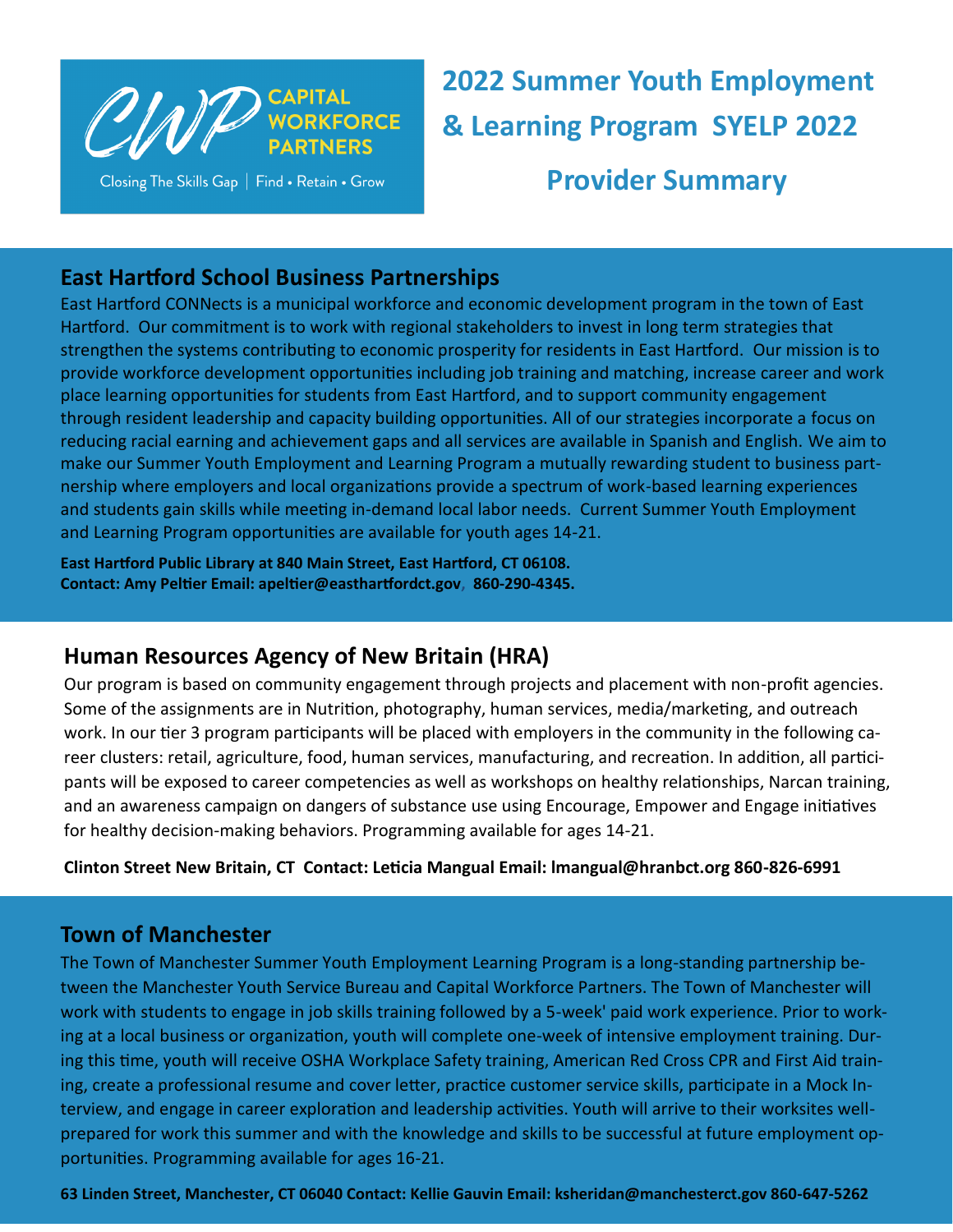

Closing The Skills Gap | Find . Retain . Grow

**2022 Summer Youth Employment & Learning Program SYELP 2022 Provider Summary**

## **East Hartford School Business Partnerships**

East Hartford CONNects is a municipal workforce and economic development program in the town of East Hartford. Our commitment is to work with regional stakeholders to invest in long term strategies that strengthen the systems contributing to economic prosperity for residents in East Hartford. Our mission is to provide workforce development opportunities including job training and matching, increase career and work place learning opportunities for students from East Hartford, and to support community engagement through resident leadership and capacity building opportunities. All of our strategies incorporate a focus on reducing racial earning and achievement gaps and all services are available in Spanish and English. We aim to make our Summer Youth Employment and Learning Program a mutually rewarding student to business partnership where employers and local organizations provide a spectrum of work-based learning experiences and students gain skills while meeting in-demand local labor needs. Current Summer Youth Employment and Learning Program opportunities are available for youth ages 14-21.

**East Hartford Public Library at 840 Main Street, East Hartford, CT 06108. Contact: Amy Peltier Email: apeltier@easthartfordct.gov, 860-290-4345.**

# **Human Resources Agency of New Britain (HRA)**

Our program is based on community engagement through projects and placement with non-profit agencies. Some of the assignments are in Nutrition, photography, human services, media/marketing, and outreach work. In our tier 3 program participants will be placed with employers in the community in the following career clusters: retail, agriculture, food, human services, manufacturing, and recreation. In addition, all participants will be exposed to career competencies as well as workshops on healthy relationships, Narcan training, and an awareness campaign on dangers of substance use using Encourage, Empower and Engage initiatives for healthy decision-making behaviors. Programming available for ages 14-21.

**Clinton Street New Britain, CT Contact: Leticia Mangual Email: lmangual@hranbct.org 860-826-6991** 

#### **Town of Manchester**

The Town of Manchester Summer Youth Employment Learning Program is a long-standing partnership between the Manchester Youth Service Bureau and Capital Workforce Partners. The Town of Manchester will work with students to engage in job skills training followed by a 5-week' paid work experience. Prior to working at a local business or organization, youth will complete one-week of intensive employment training. During this time, youth will receive OSHA Workplace Safety training, American Red Cross CPR and First Aid training, create a professional resume and cover letter, practice customer service skills, participate in a Mock Interview, and engage in career exploration and leadership activities. Youth will arrive to their worksites wellprepared for work this summer and with the knowledge and skills to be successful at future employment opportunities. Programming available for ages 16-21.

**63 Linden Street, Manchester, CT 06040 Contact: Kellie Gauvin Email: ksheridan@manchesterct.gov 860-647-5262**